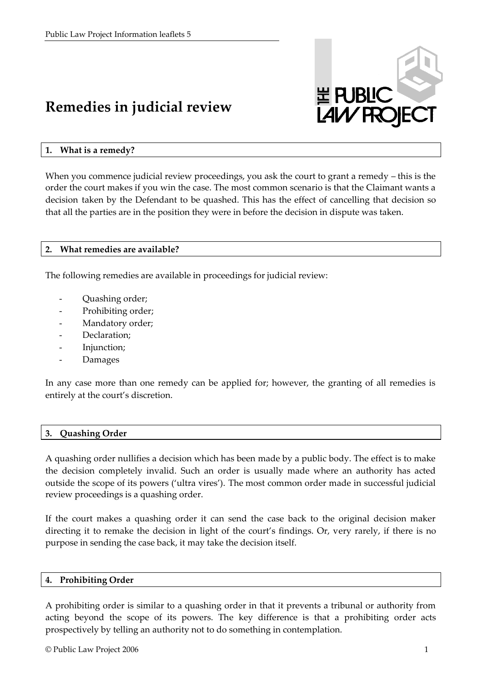# **Remedies in judicial review**



### **1. What is a remedy?**

When you commence judicial review proceedings, you ask the court to grant a remedy – this is the order the court makes if you win the case. The most common scenario is that the Claimant wants a decision taken by the Defendant to be quashed. This has the effect of cancelling that decision so that all the parties are in the position they were in before the decision in dispute was taken.

#### **2. What remedies are available?**

The following remedies are available in proceedings for judicial review:

- Quashing order;
- Prohibiting order;
- Mandatory order;
- Declaration;
- Injunction;
- **Damages**

In any case more than one remedy can be applied for; however, the granting of all remedies is entirely at the court's discretion.

## **3. Quashing Order**

A quashing order nullifies a decision which has been made by a public body. The effect is to make the decision completely invalid. Such an order is usually made where an authority has acted outside the scope of its powers ('ultra vires'). The most common order made in successful judicial review proceedings is a quashing order.

If the court makes a quashing order it can send the case back to the original decision maker directing it to remake the decision in light of the court's findings. Or, very rarely, if there is no purpose in sending the case back, it may take the decision itself.

#### **4. Prohibiting Order**

A prohibiting order is similar to a quashing order in that it prevents a tribunal or authority from acting beyond the scope of its powers. The key difference is that a prohibiting order acts prospectively by telling an authority not to do something in contemplation.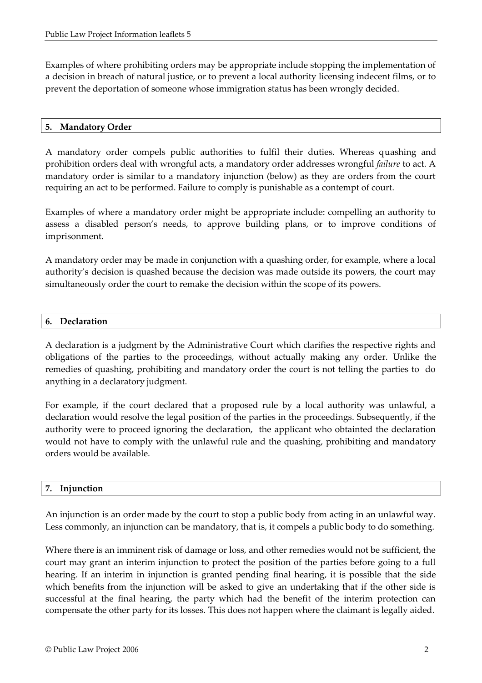Examples of where prohibiting orders may be appropriate include stopping the implementation of a decision in breach of natural justice, or to prevent a local authority licensing indecent films, or to prevent the deportation of someone whose immigration status has been wrongly decided.

# **5. Mandatory Order**

A mandatory order compels public authorities to fulfil their duties. Whereas quashing and prohibition orders deal with wrongful acts, a mandatory order addresses wrongful *failure* to act. A mandatory order is similar to a mandatory injunction (below) as they are orders from the court requiring an act to be performed. Failure to comply is punishable as a contempt of court.

Examples of where a mandatory order might be appropriate include: compelling an authority to assess a disabled person's needs, to approve building plans, or to improve conditions of imprisonment.

A mandatory order may be made in conjunction with a quashing order, for example, where a local authority's decision is quashed because the decision was made outside its powers, the court may simultaneously order the court to remake the decision within the scope of its powers.

#### **6. Declaration**

A declaration is a judgment by the Administrative Court which clarifies the respective rights and obligations of the parties to the proceedings, without actually making any order. Unlike the remedies of quashing, prohibiting and mandatory order the court is not telling the parties to do anything in a declaratory judgment.

For example, if the court declared that a proposed rule by a local authority was unlawful, a declaration would resolve the legal position of the parties in the proceedings. Subsequently, if the authority were to proceed ignoring the declaration, the applicant who obtainted the declaration would not have to comply with the unlawful rule and the quashing, prohibiting and mandatory orders would be available.

#### **7. Injunction**

An injunction is an order made by the court to stop a public body from acting in an unlawful way. Less commonly, an injunction can be mandatory, that is, it compels a public body to do something.

Where there is an imminent risk of damage or loss, and other remedies would not be sufficient, the court may grant an interim injunction to protect the position of the parties before going to a full hearing. If an interim in injunction is granted pending final hearing, it is possible that the side which benefits from the injunction will be asked to give an undertaking that if the other side is successful at the final hearing, the party which had the benefit of the interim protection can compensate the other party for its losses. This does not happen where the claimant is legally aided.